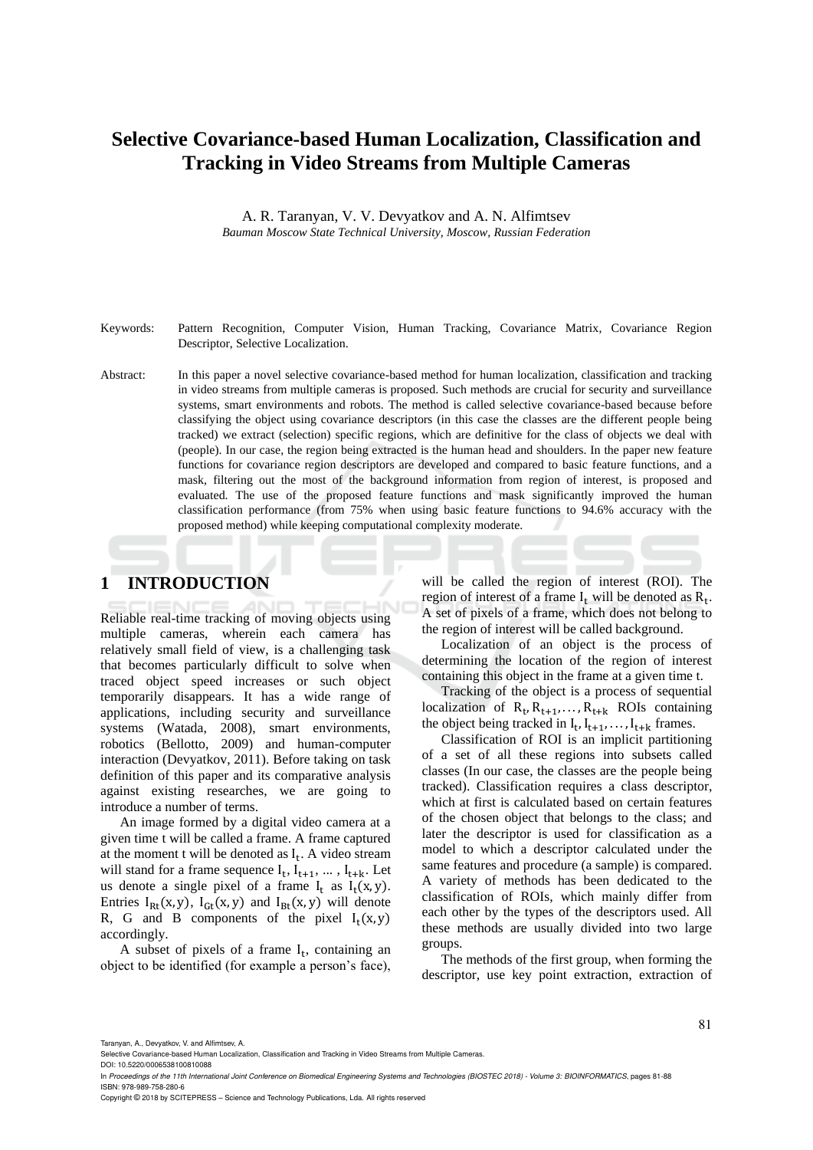## **Selective Covariance-based Human Localization, Classification and Tracking in Video Streams from Multiple Cameras**

A. R. Taranyan, V. V. Devyatkov and A. N. Alfimtsev *Bauman Moscow State Technical University, Moscow, Russian Federation*

Keywords: Pattern Recognition, Computer Vision, Human Tracking, Covariance Matrix, Covariance Region Descriptor, Selective Localization.

Abstract: In this paper a novel selective covariance-based method for human localization, classification and tracking in video streams from multiple cameras is proposed. Such methods are crucial for security and surveillance systems, smart environments and robots. The method is called selective covariance-based because before classifying the object using covariance descriptors (in this case the classes are the different people being tracked) we extract (selection) specific regions, which are definitive for the class of objects we deal with (people). In our case, the region being extracted is the human head and shoulders. In the paper new feature functions for covariance region descriptors are developed and compared to basic feature functions, and a mask, filtering out the most of the background information from region of interest, is proposed and evaluated. The use of the proposed feature functions and mask significantly improved the human classification performance (from 75% when using basic feature functions to 94.6% accuracy with the proposed method) while keeping computational complexity moderate.

## **1 INTRODUCTION**

Reliable real-time tracking of moving objects using multiple cameras, wherein each camera has relatively small field of view, is a challenging task that becomes particularly difficult to solve when traced object speed increases or such object temporarily disappears. It has a wide range of applications, including security and surveillance systems (Watada, 2008), smart environments, robotics (Bellotto, 2009) and human-computer interaction (Devyatkov, 2011). Before taking on task definition of this paper and its comparative analysis against existing researches, we are going to introduce a number of terms.

An image formed by a digital video camera at a given time t will be called a frame. A frame captured at the moment  $t$  will be denoted as  $I_t$ . A video stream will stand for a frame sequence  $I_t$ ,  $I_{t+1}$ , ...,  $I_{t+k}$ . Let us denote a single pixel of a frame  $I_t$  as  $I_t(x, y)$ . Entries  $I_{Rt}(x, y)$ ,  $I_{Gt}(x, y)$  and  $I_{Bt}(x, y)$  will denote R, G and B components of the pixel  $I_t(x, y)$ accordingly.

A subset of pixels of a frame  $I_t$ , containing an object to be identified (for example a person's face),

will be called the region of interest (ROI). The region of interest of a frame  $I_t$  will be denoted as  $R_t$ . A set of pixels of a frame, which does not belong to the region of interest will be called background.

Localization of an object is the process of determining the location of the region of interest containing this object in the frame at a given time t.

Tracking of the object is a process of sequential localization of  $R_t, R_{t+1}, \ldots, R_{t+k}$  ROIs containing the object being tracked in  $I_t$ ,  $I_{t+1}$ , ...,  $I_{t+k}$  frames.

Classification of ROI is an implicit partitioning of a set of all these regions into subsets called classes (In our case, the classes are the people being tracked). Classification requires a class descriptor, which at first is calculated based on certain features of the chosen object that belongs to the class; and later the descriptor is used for classification as a model to which a descriptor calculated under the same features and procedure (a sample) is compared. A variety of methods has been dedicated to the classification of ROIs, which mainly differ from each other by the types of the descriptors used. All these methods are usually divided into two large groups.

The methods of the first group, when forming the descriptor, use key point extraction, extraction of

Copyright © 2018 by SCITEPRESS – Science and Technology Publications, Lda. All rights reserved

Taranyan, A., Devyatkov, V. and Alfimtsev, A.

Selective Covariance-based Human Localization, Classification and Tracking in Video Streams from Multiple Cameras. DOI: 10.5220/0006538100810088

In *Proceedings of the 11th International Joint Conference on Biomedical Engineering Systems and Technologies (BIOSTEC 2018) - Volume 3: BIOINFORMATICS*, pages 81-88 ISBN: 978-989-758-280-6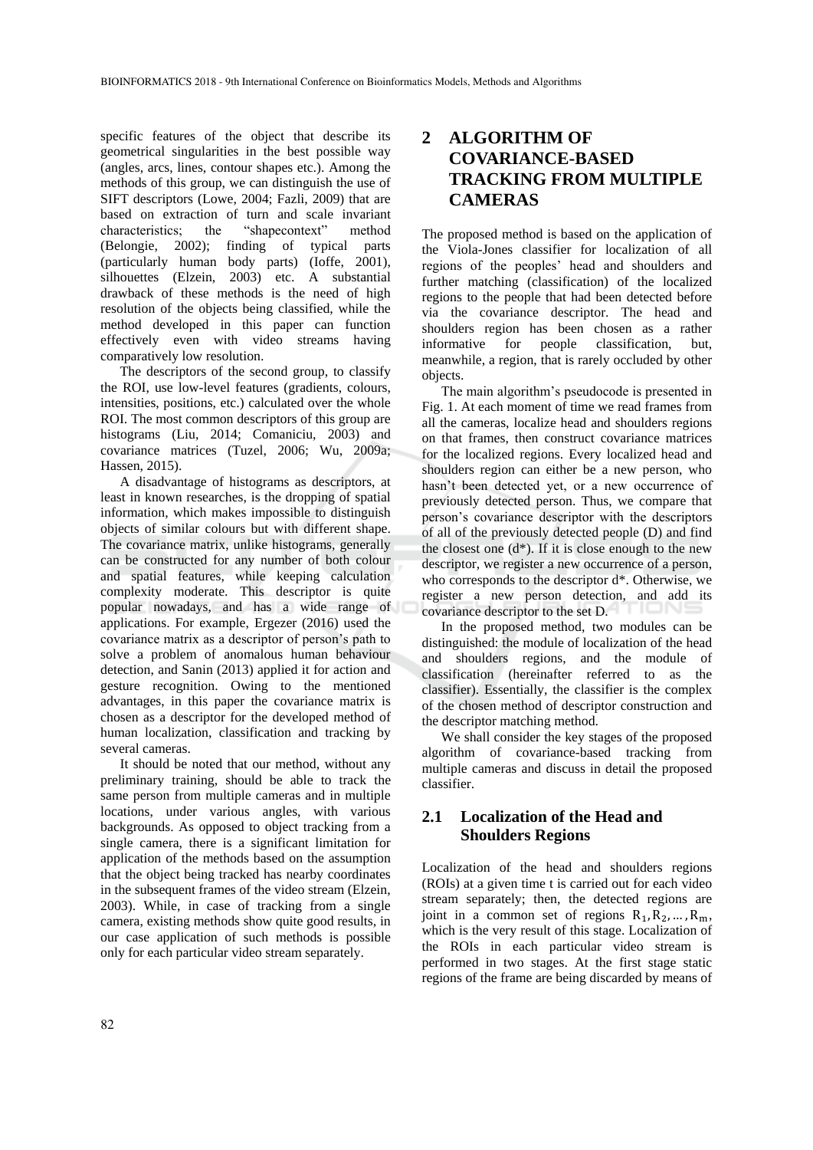specific features of the object that describe its geometrical singularities in the best possible way (angles, arcs, lines, contour shapes etc.). Among the methods of this group, we can distinguish the use of SIFT descriptors (Lowe, 2004; Fazli, 2009) that are based on extraction of turn and scale invariant characteristics; the "shapecontext" method (Belongie, 2002); finding of typical parts (particularly human body parts) (Ioffe, 2001), silhouettes (Elzein, 2003) etc. A substantial drawback of these methods is the need of high resolution of the objects being classified, while the method developed in this paper can function effectively even with video streams having comparatively low resolution.

The descriptors of the second group, to classify the ROI, use low-level features (gradients, colours, intensities, positions, etc.) calculated over the whole ROI. The most common descriptors of this group are histograms (Liu, 2014; Comaniciu, 2003) and covariance matrices (Tuzel, 2006; Wu, 2009a; Hassen, 2015).

A disadvantage of histograms as descriptors, at least in known researches, is the dropping of spatial information, which makes impossible to distinguish objects of similar colours but with different shape. The covariance matrix, unlike histograms, generally can be constructed for any number of both colour and spatial features, while keeping calculation complexity moderate. This descriptor is quite popular nowadays, and has a wide range of applications. For example, Ergezer (2016) used the covariance matrix as a descriptor of person's path to solve a problem of anomalous human behaviour detection, and Sanin (2013) applied it for action and gesture recognition. Owing to the mentioned advantages, in this paper the covariance matrix is chosen as a descriptor for the developed method of human localization, classification and tracking by several cameras.

It should be noted that our method, without any preliminary training, should be able to track the same person from multiple cameras and in multiple locations, under various angles, with various backgrounds. As opposed to object tracking from a single camera, there is a significant limitation for application of the methods based on the assumption that the object being tracked has nearby coordinates in the subsequent frames of the video stream (Elzein, 2003). While, in case of tracking from a single camera, existing methods show quite good results, in our case application of such methods is possible only for each particular video stream separately.

## **2 ALGORITHM OF COVARIANCE-BASED TRACKING FROM MULTIPLE CAMERAS**

The proposed method is based on the application of the Viola-Jones classifier for localization of all regions of the peoples' head and shoulders and further matching (classification) of the localized regions to the people that had been detected before via the covariance descriptor. The head and shoulders region has been chosen as a rather informative for people classification, but, meanwhile, a region, that is rarely occluded by other objects.

The main algorithm's pseudocode is presented in Fig. 1. At each moment of time we read frames from all the cameras, localize head and shoulders regions on that frames, then construct covariance matrices for the localized regions. Every localized head and shoulders region can either be a new person, who hasn't been detected yet, or a new occurrence of previously detected person. Thus, we compare that person's covariance descriptor with the descriptors of all of the previously detected people (D) and find the closest one  $(d^*)$ . If it is close enough to the new descriptor, we register a new occurrence of a person, who corresponds to the descriptor d\*. Otherwise, we register a new person detection, and add its covariance descriptor to the set D.

In the proposed method, two modules can be distinguished: the module of localization of the head and shoulders regions, and the module of classification (hereinafter referred to as the classifier). Essentially, the classifier is the complex of the chosen method of descriptor construction and the descriptor matching method.

We shall consider the key stages of the proposed algorithm of covariance-based tracking from multiple cameras and discuss in detail the proposed classifier.

## **2.1 Localization of the Head and Shoulders Regions**

Localization of the head and shoulders regions (ROIs) at a given time t is carried out for each video stream separately; then, the detected regions are joint in a common set of regions  $R_1, R_2, ..., R_m$ , which is the very result of this stage. Localization of the ROIs in each particular video stream is performed in two stages. At the first stage static regions of the frame are being discarded by means of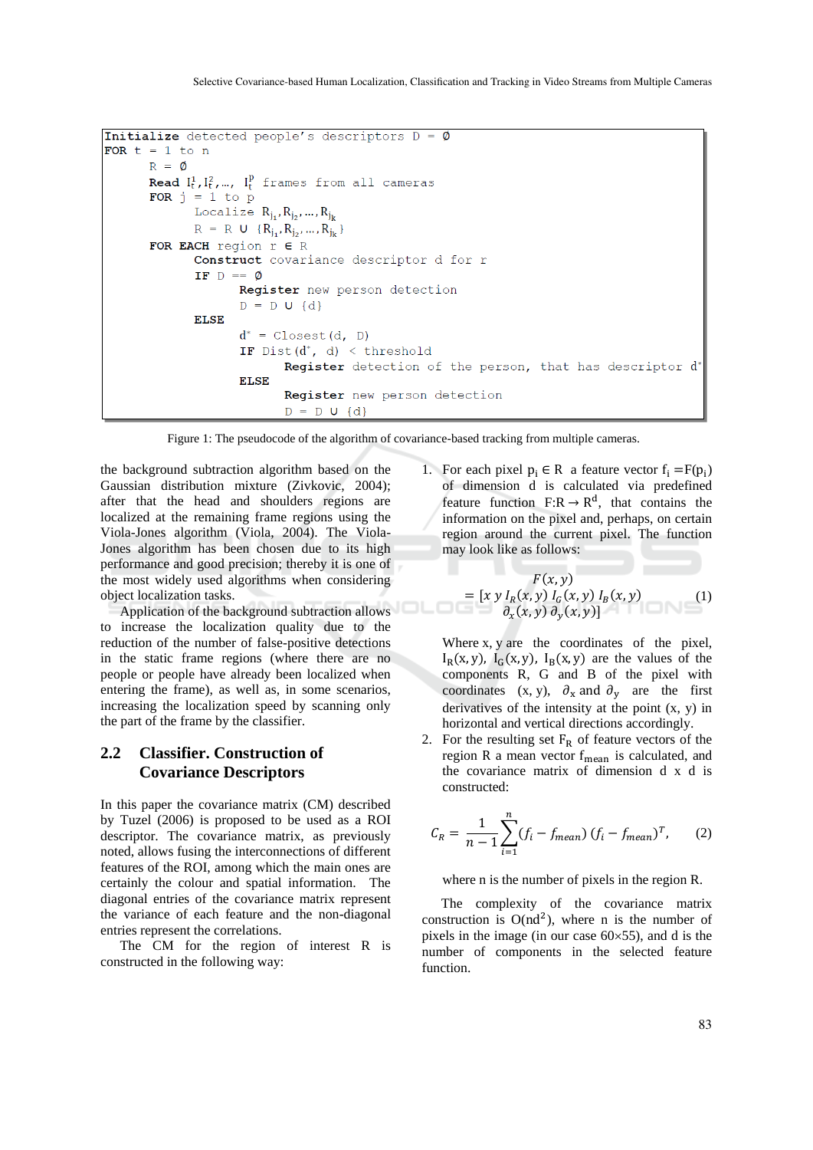```
Initialize detected people's descriptors D = \emptysetFOR t = 1 to n
R = 0Read I_t^1, I_t^2, ..., I_t^p frames from all cameras
FOR j = 1 to p
      Localize R_{j_1}, R_{j_2}, ..., R_{j_k}R = R U {R_{j_1}, R_{j_2}, ..., R_{j_k}}FOR EACH region r \in RConstruct covariance descriptor d for r
       IF D == \emptysetRegister new person detection
              D = D U {d}ELSE
              d^* = Closest (d, D)
              IF Dist(d^*, d) < threshold
                     Register detection of the person, that has descriptor d*
              ELSE
                     Register new person detection
                     D = D U {d}
```
Figure 1: The pseudocode of the algorithm of covariance-based tracking from multiple cameras.

the background subtraction algorithm based on the Gaussian distribution mixture (Zivkovic, 2004); after that the head and shoulders regions are localized at the remaining frame regions using the Viola-Jones algorithm (Viola, 2004). The Viola-Jones algorithm has been chosen due to its high performance and good precision; thereby it is one of the most widely used algorithms when considering object localization tasks.

Application of the background subtraction allows to increase the localization quality due to the reduction of the number of false-positive detections in the static frame regions (where there are no people or people have already been localized when entering the frame), as well as, in some scenarios, increasing the localization speed by scanning only the part of the frame by the classifier.

#### **2.2 Classifier. Construction of Covariance Descriptors**

In this paper the covariance matrix (CM) described by Tuzel (2006) is proposed to be used as a ROI descriptor. The covariance matrix, as previously noted, allows fusing the interconnections of different features of the ROI, among which the main ones are certainly the colour and spatial information. The diagonal entries of the covariance matrix represent the variance of each feature and the non-diagonal entries represent the correlations.

The CM for the region of interest R is constructed in the following way:

1. For each pixel  $p_i \in R$  a feature vector  $f_i = F(p_i)$ of dimension d is calculated via predefined feature function  $F:R \to R^d$ , that contains the information on the pixel and, perhaps, on certain region around the current pixel. The function may look like as follows:

$$
F(x, y)
$$
  
= 
$$
[x \ y \ I_R(x, y) \ I_G(x, y) \ I_B(x, y)
$$
  

$$
\frac{\partial_x(x, y)}{\partial_y(x, y)} \frac{\partial_y(x, y)}{\partial_y(y, y)}
$$
 (1)

Where x, y are the coordinates of the pixel,  $I_R(x, y)$ ,  $I_G(x, y)$ ,  $I_B(x, y)$  are the values of the components R, G and B of the pixel with coordinates (x, y),  $\partial_x$  and  $\partial_y$  are the first derivatives of the intensity at the point (x, y) in horizontal and vertical directions accordingly.

2. For the resulting set  $F_R$  of feature vectors of the region R a mean vector  $f_{\text{mean}}$  is calculated, and the covariance matrix of dimension d x d is constructed:

$$
C_R = \frac{1}{n-1} \sum_{i=1}^{n} (f_i - f_{mean}) (f_i - f_{mean})^T, \qquad (2)
$$

where n is the number of pixels in the region R.

The complexity of the covariance matrix construction is  $O(nd^2)$ , where n is the number of pixels in the image (in our case  $60\times55$ ), and d is the number of components in the selected feature function.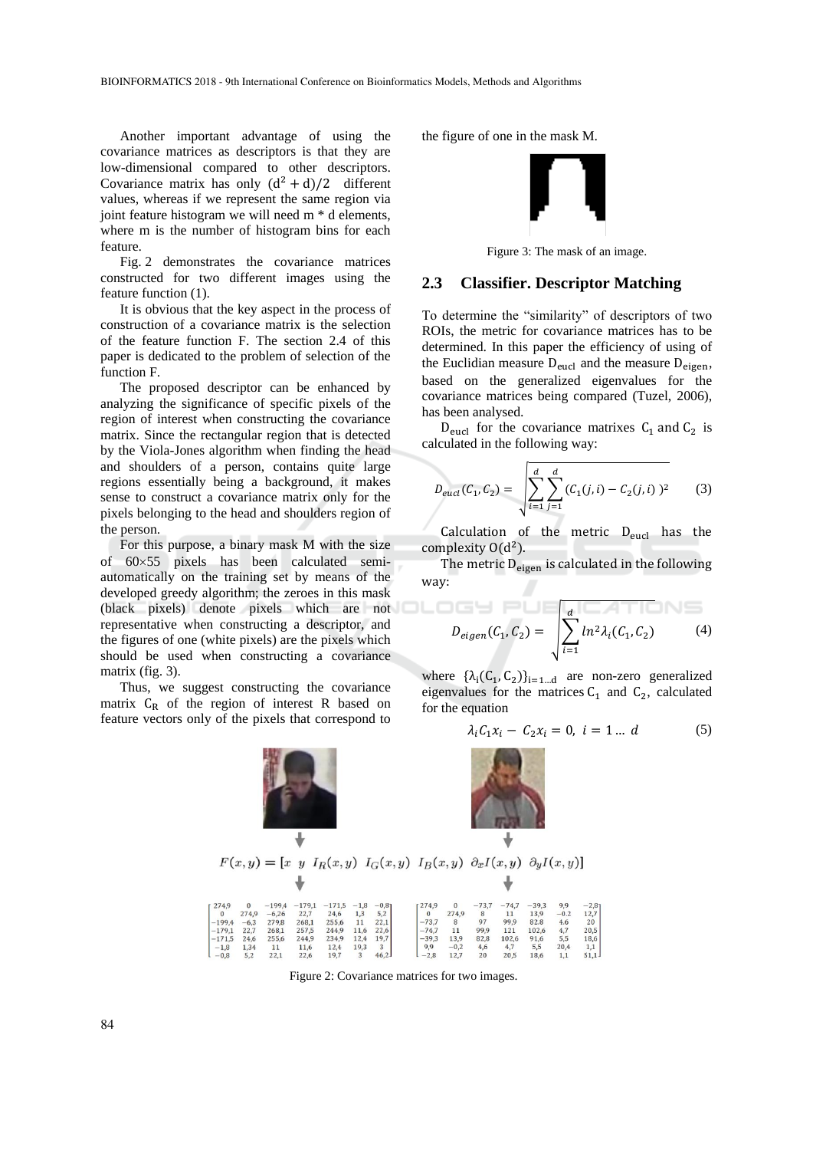Another important advantage of using the covariance matrices as descriptors is that they are low-dimensional compared to other descriptors. Covariance matrix has only  $(d^2 + d)/2$  different values, whereas if we represent the same region via joint feature histogram we will need m \* d elements, where m is the number of histogram bins for each feature.

Fig. 2 demonstrates the covariance matrices constructed for two different images using the feature function (1).

It is obvious that the key aspect in the process of construction of a covariance matrix is the selection of the feature function F. The section 2.4 of this paper is dedicated to the problem of selection of the function F.

The proposed descriptor can be enhanced by analyzing the significance of specific pixels of the region of interest when constructing the covariance matrix. Since the rectangular region that is detected by the Viola-Jones algorithm when finding the head and shoulders of a person, contains quite large regions essentially being a background, it makes sense to construct a covariance matrix only for the pixels belonging to the head and shoulders region of the person.

For this purpose, a binary mask M with the size of  $60\times55$  pixels has been calculated semiautomatically on the training set by means of the developed greedy algorithm; the zeroes in this mask (black pixels) denote pixels which are not representative when constructing a descriptor, and the figures of one (white pixels) are the pixels which should be used when constructing a covariance matrix (fig. 3).

Thus, we suggest constructing the covariance matrix  $C_R$  of the region of interest R based on feature vectors only of the pixels that correspond to



the figure of one in the mask M.



Figure 3: The mask of an image.

#### **2.3 Classifier. Descriptor Matching**

To determine the "similarity" of descriptors of two ROIs, the metric for covariance matrices has to be determined. In this paper the efficiency of using of the Euclidian measure  $D_{eucl}$  and the measure  $D_{eigen}$ , based on the generalized eigenvalues for the covariance matrices being compared (Tuzel, 2006), has been analysed.

 $D_{\text{eucl}}$  for the covariance matrixes  $C_1$  and  $C_2$  is calculated in the following way:

$$
D_{eucl}(C_1, C_2) = \sqrt{\sum_{i=1}^d \sum_{j=1}^d (C_1(j, i) - C_2(j, i))^2}
$$
 (3)

Calculation of the metric  $D_{eucl}$  has the complexity  $O(d^2)$ .

The metric  $D_{eigen}$  is calculated in the following way:

$$
D_{eigen}(C_1, C_2) = \sqrt{\sum_{i=1}^{d} ln^2 \lambda_i(C_1, C_2)}
$$
 (4)

where  $\{\lambda_i(C_1, C_2)\}_{i=1...d}$  are non-zero generalized eigenvalues for the matrices  $C_1$  and  $C_2$ , calculated for the equation

$$
\lambda_i C_1 x_i - C_2 x_i = 0, \ i = 1 \dots d \tag{5}
$$



Figure 2: Covariance matrices for two images.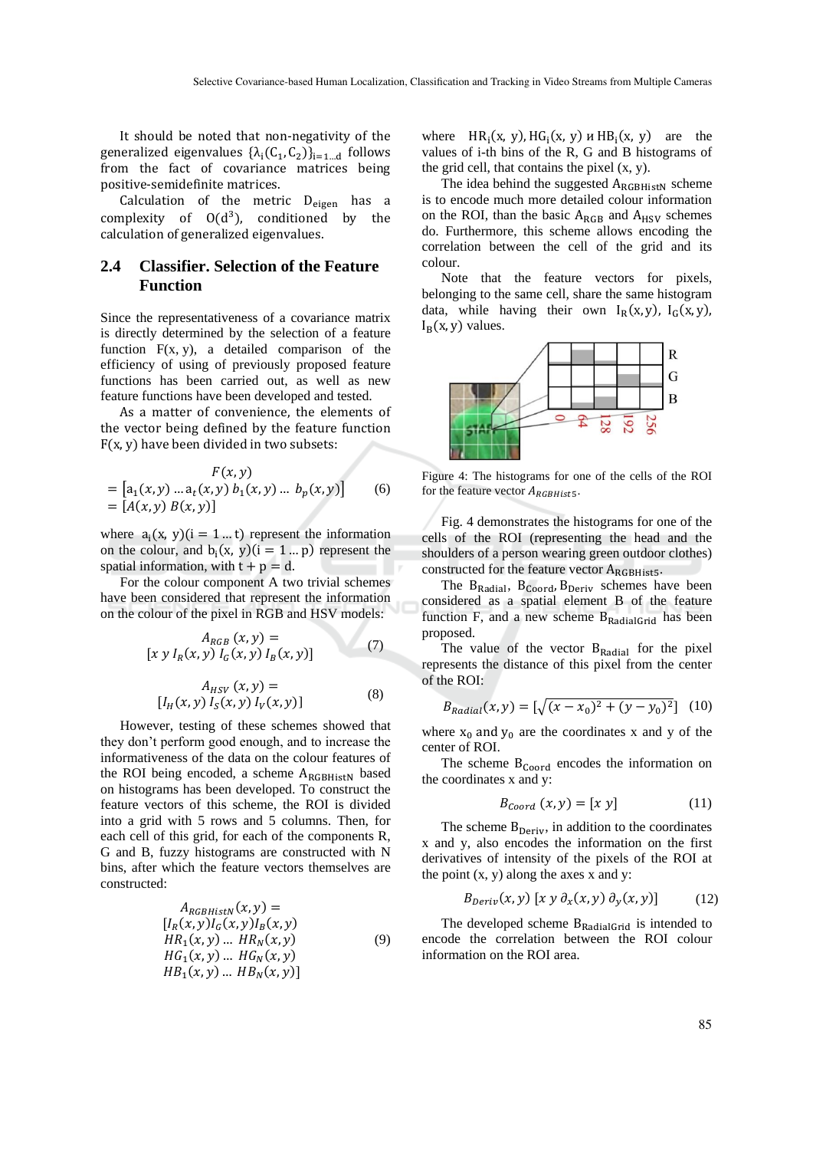It should be noted that non-negativity of the generalized eigenvalues  $\{\lambda_i(C_1, C_2)\}_{i=1...d}$  follows from the fact of covariance matrices being positive-semidefinite matrices.

Calculation of the metric  $D_{eigen}$  has a complexity of  $O(d^3)$ , conditioned by the calculation of generalized eigenvalues.

#### **2.4 Classifier. Selection of the Feature Function**

Since the representativeness of a covariance matrix is directly determined by the selection of a feature function  $F(x, y)$ , a detailed comparison of the efficiency of using of previously proposed feature functions has been carried out, as well as new feature functions have been developed and tested.

As a matter of convenience, the elements of the vector being defined by the feature function F(x, y) have been divided in two subsets:

$$
F(x, y)
$$
  
=  $[a_1(x, y) ... a_t(x, y) b_1(x, y) ... b_p(x, y)]$  (6)  
=  $[A(x, y) B(x, y)]$ 

where  $a_i(x, y)(i = 1...t)$  represent the information on the colour, and  $b_i(x, y)(i = 1 \dots p)$  represent the spatial information, with  $t + p = d$ .

For the colour component A two trivial schemes have been considered that represent the information on the colour of the pixel in RGB and HSV models:

$$
A_{RGB}(x, y) = [x y I_R(x, y) I_G(x, y) I_B(x, y)]
$$
 (7)

$$
A_{HSV} (x, y) = [I_H(x, y) I_S(x, y) I_V(x, y)]
$$
 (8)

However, testing of these schemes showed that they don't perform good enough, and to increase the informativeness of the data on the colour features of the ROI being encoded, a scheme ARGBHistN based on histograms has been developed. To construct the feature vectors of this scheme, the ROI is divided into a grid with 5 rows and 5 columns. Then, for each cell of this grid, for each of the components R, G and B, fuzzy histograms are constructed with N bins, after which the feature vectors themselves are constructed:

$$
A_{RGBHistN}(x, y) =[IR(x, y)IG(x, y)IB(x, y)HR1(x, y) ... HRN(x, y)HG1(x, y) ... HGN(x, y)HB1(x, y) ... HBN(x, y)]
$$
(9)

where  $HR_i(x, y)$ ,  $HG_i(x, y)$  u  $HB_i(x, y)$  are the values of i-th bins of the R, G and B histograms of the grid cell, that contains the pixel  $(x, y)$ .

The idea behind the suggested  $A_{RGBHistN}$  scheme is to encode much more detailed colour information on the ROI, than the basic  $A_{RGB}$  and  $A_{HSV}$  schemes do. Furthermore, this scheme allows encoding the correlation between the cell of the grid and its colour.

Note that the feature vectors for pixels, belonging to the same cell, share the same histogram data, while having their own  $I_R(x, y)$ ,  $I_G(x, y)$ ,  $I_B(x, y)$  values.



Figure 4: The histograms for one of the cells of the ROI for the feature vector  $A_{RGBHist5}$ .

Fig. 4 demonstrates the histograms for one of the cells of the ROI (representing the head and the shoulders of a person wearing green outdoor clothes) constructed for the feature vector  $A_{RGBHist5}$ .

The  $B_{Radial}$ ,  $B_{Coord}$ ,  $B_{Deriv}$  schemes have been considered as a spatial element B of the feature function F, and a new scheme  $B_{RadialGrid}$  has been proposed.

The value of the vector  $B_{\text{Radial}}$  for the pixel represents the distance of this pixel from the center of the ROI:

$$
B_{Radial}(x, y) = \left[\sqrt{(x - x_0)^2 + (y - y_0)^2}\right] (10)
$$

where  $x_0$  and  $y_0$  are the coordinates x and y of the center of ROI.

The scheme  $B_{\text{Coord}}$  encodes the information on the coordinates x and y:

$$
B_{coord}(x, y) = [x y] \tag{11}
$$

The scheme  $B_{Deriv}$ , in addition to the coordinates x and y, also encodes the information on the first derivatives of intensity of the pixels of the ROI at the point  $(x, y)$  along the axes x and y:

$$
B_{Deriv}(x, y) [x y \partial_x(x, y) \partial_y(x, y)] \tag{12}
$$

The developed scheme  $B_{\text{RadialGrid}}$  is intended to encode the correlation between the ROI colour information on the ROI area.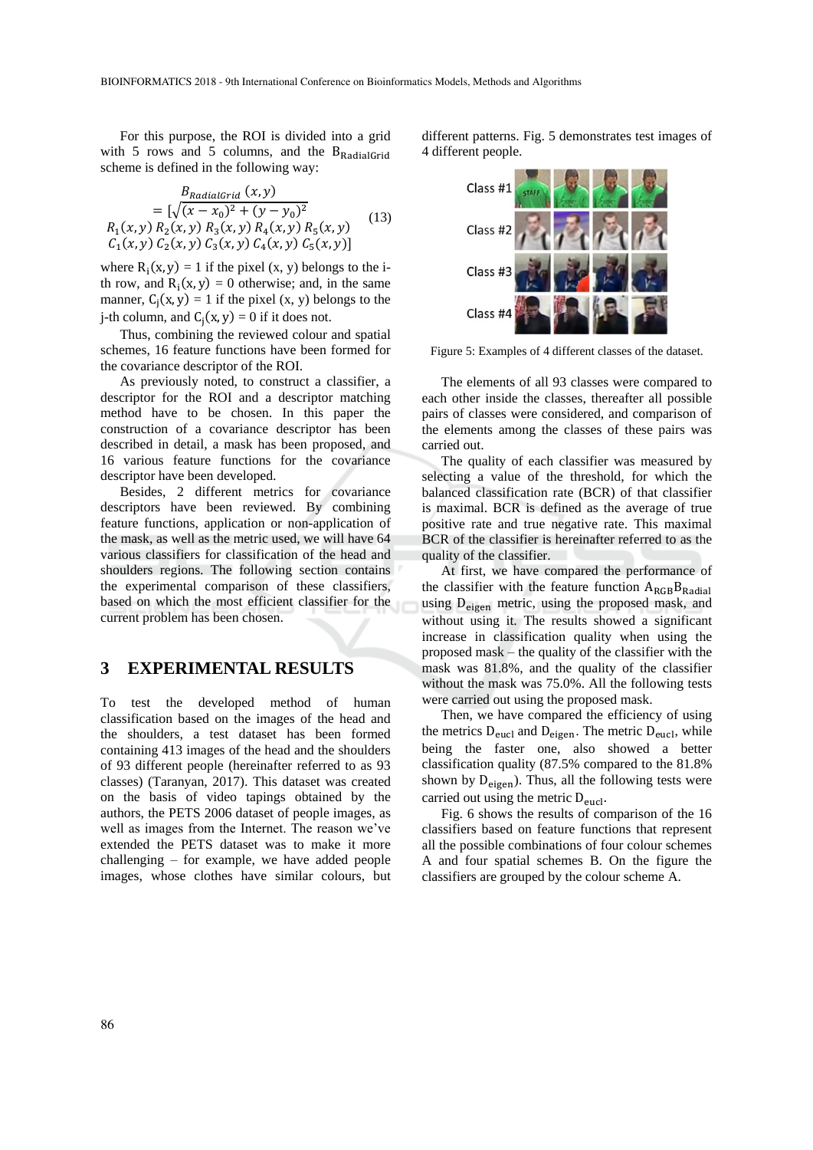For this purpose, the ROI is divided into a grid with 5 rows and 5 columns, and the  $B_{\text{RadialGrid}}$ scheme is defined in the following way:

$$
B_{RadialGrid}(x, y)
$$
  
=  $[\sqrt{(x - x_0)^2 + (y - y_0)^2}$   
 $R_1(x, y) R_2(x, y) R_3(x, y) R_4(x, y) R_5(x, y)$   
 $C_1(x, y) C_2(x, y) C_3(x, y) C_4(x, y) C_5(x, y)]$  (13)

where  $R_i(x, y) = 1$  if the pixel  $(x, y)$  belongs to the ith row, and  $R_i(x, y) = 0$  otherwise; and, in the same manner,  $C_j(x, y) = 1$  if the pixel  $(x, y)$  belongs to the j-th column, and  $C_j(x, y) = 0$  if it does not.

Thus, combining the reviewed colour and spatial schemes, 16 feature functions have been formed for the covariance descriptor of the ROI.

As previously noted, to construct a classifier, a descriptor for the ROI and a descriptor matching method have to be chosen. In this paper the construction of a covariance descriptor has been described in detail, a mask has been proposed, and 16 various feature functions for the covariance descriptor have been developed.

Besides, 2 different metrics for covariance descriptors have been reviewed. By combining feature functions, application or non-application of the mask, as well as the metric used, we will have 64 various classifiers for classification of the head and shoulders regions. The following section contains the experimental comparison of these classifiers, based on which the most efficient classifier for the current problem has been chosen.

### **3 EXPERIMENTAL RESULTS**

To test the developed method of human classification based on the images of the head and the shoulders, a test dataset has been formed containing 413 images of the head and the shoulders of 93 different people (hereinafter referred to as 93 classes) (Taranyan, 2017). This dataset was created on the basis of video tapings obtained by the authors, the PETS 2006 dataset of people images, as well as images from the Internet. The reason we've extended the PETS dataset was to make it more challenging – for example, we have added people images, whose clothes have similar colours, but different patterns. Fig. 5 demonstrates test images of 4 different people.



Figure 5: Examples of 4 different classes of the dataset.

The elements of all 93 classes were compared to each other inside the classes, thereafter all possible pairs of classes were considered, and comparison of the elements among the classes of these pairs was carried out.

The quality of each classifier was measured by selecting a value of the threshold, for which the balanced classification rate (BCR) of that classifier is maximal. BCR is defined as the average of true positive rate and true negative rate. This maximal BCR of the classifier is hereinafter referred to as the quality of the classifier.

At first, we have compared the performance of the classifier with the feature function  $A_{RGB}B_{Radial}$ using D<sub>eigen</sub> metric, using the proposed mask, and without using it. The results showed a significant increase in classification quality when using the proposed mask – the quality of the classifier with the mask was 81.8%, and the quality of the classifier without the mask was 75.0%. All the following tests were carried out using the proposed mask.

Then, we have compared the efficiency of using the metrics  $D_{eucl}$  and  $D_{eigen}$ . The metric  $D_{eucl}$ , while being the faster one, also showed a better classification quality (87.5% compared to the 81.8% shown by  $D_{eigen}$ ). Thus, all the following tests were carried out using the metric  $D_{eucl}$ .

Fig. 6 shows the results of comparison of the 16 classifiers based on feature functions that represent all the possible combinations of four colour schemes A and four spatial schemes B. On the figure the classifiers are grouped by the colour scheme A.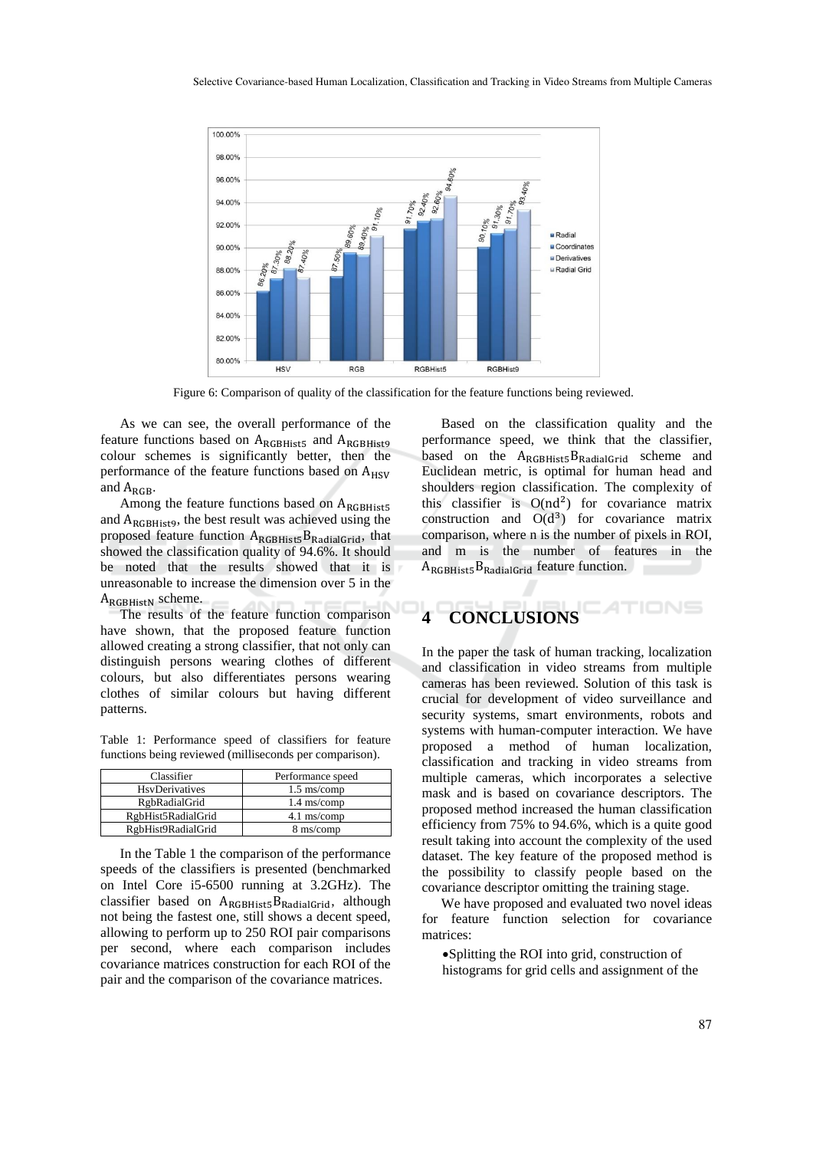

Figure 6: Comparison of quality of the classification for the feature functions being reviewed.

As we can see, the overall performance of the feature functions based on ARGBHist5 and ARGBHist9 colour schemes is significantly better, then the performance of the feature functions based on  $A_{HSV}$ and A<sub>RGB</sub>.

Among the feature functions based on  $A_{RGBHist5}$ and ARGBHist9, the best result was achieved using the proposed feature function  $A_{RGBHist5}B_{RadialGrid}$ , that showed the classification quality of 94.6%. It should be noted that the results showed that it is unreasonable to increase the dimension over 5 in the A<sub>RGBHistN</sub> scheme.

The results of the feature function comparison have shown, that the proposed feature function allowed creating a strong classifier, that not only can distinguish persons wearing clothes of different colours, but also differentiates persons wearing clothes of similar colours but having different patterns.

Table 1: Performance speed of classifiers for feature functions being reviewed (milliseconds per comparison).

| Classifier             | Performance speed      |
|------------------------|------------------------|
| <b>H</b> syDerivatives | $1.5 \text{ ms}$ /comp |
| <b>RgbRadialGrid</b>   | $1.4 \text{ ms}$ /comp |
| RgbHist5RadialGrid     | $4.1$ ms/comp          |
| RgbHist9RadialGrid     | 8 ms/comp              |

In the Table 1 the comparison of the performance speeds of the classifiers is presented (benchmarked on Intel Core i5-6500 running at 3.2GHz). The classifier based on  $A_{RGBHist5}B_{RadialGrid}$ , although not being the fastest one, still shows a decent speed, allowing to perform up to 250 ROI pair comparisons per second, where each comparison includes covariance matrices construction for each ROI of the pair and the comparison of the covariance matrices.

Based on the classification quality and the performance speed, we think that the classifier, based on the ARGBHist5BRadialGrid scheme and Euclidean metric, is optimal for human head and shoulders region classification. The complexity of this classifier is  $O(nd^2)$  for covariance matrix construction and  $O(d^3)$  for covariance matrix comparison, where n is the number of pixels in ROI, and m is the number of features in the  $A_{RGBHist5}B_{RadialGrid}$  feature function.

# **4 CONCLUSIONS**

In the paper the task of human tracking, localization and classification in video streams from multiple cameras has been reviewed. Solution of this task is crucial for development of video surveillance and security systems, smart environments, robots and systems with human-computer interaction. We have proposed a method of human localization, classification and tracking in video streams from multiple cameras, which incorporates a selective mask and is based on covariance descriptors. The proposed method increased the human classification efficiency from 75% to 94.6%, which is a quite good result taking into account the complexity of the used dataset. The key feature of the proposed method is the possibility to classify people based on the covariance descriptor omitting the training stage.

We have proposed and evaluated two novel ideas for feature function selection for covariance matrices:

•Splitting the ROI into grid, construction of histograms for grid cells and assignment of the